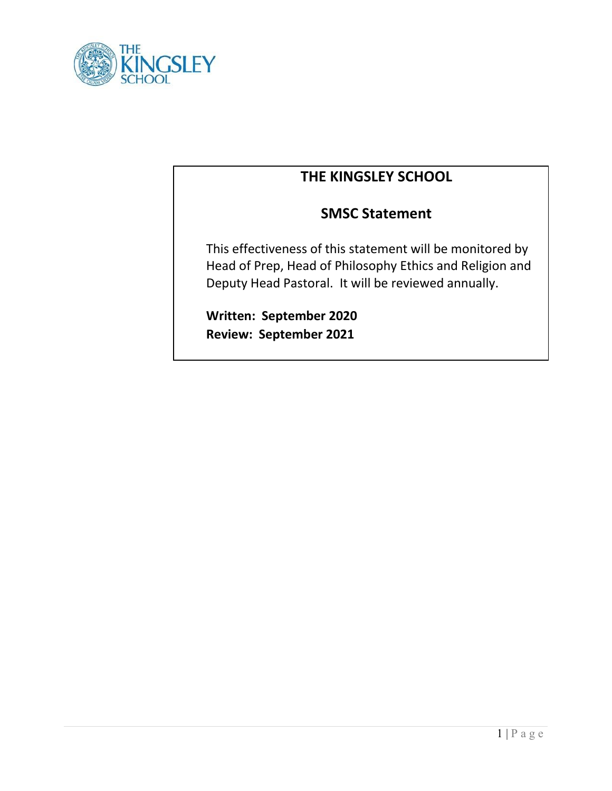

# **THE KINGSLEY SCHOOL**

## **SMSC Statement**

This effectiveness of this statement will be monitored by Head of Prep, Head of Philosophy Ethics and Religion and Deputy Head Pastoral. It will be reviewed annually.

**Written: September 2020 Review: September 2021**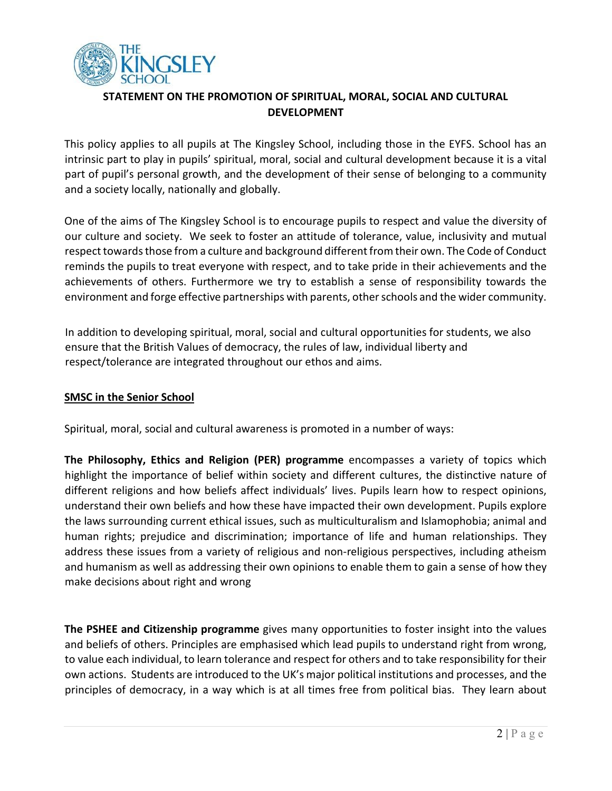

## **STATEMENT ON THE PROMOTION OF SPIRITUAL, MORAL, SOCIAL AND CULTURAL DEVELOPMENT**

This policy applies to all pupils at The Kingsley School, including those in the EYFS. School has an intrinsic part to play in pupils' spiritual, moral, social and cultural development because it is a vital part of pupil's personal growth, and the development of their sense of belonging to a community and a society locally, nationally and globally.

One of the aims of The Kingsley School is to encourage pupils to respect and value the diversity of our culture and society. We seek to foster an attitude of tolerance, value, inclusivity and mutual respect towards those from a culture and background different from their own. The Code of Conduct reminds the pupils to treat everyone with respect, and to take pride in their achievements and the achievements of others. Furthermore we try to establish a sense of responsibility towards the environment and forge effective partnerships with parents, other schools and the wider community.

In addition to developing spiritual, moral, social and cultural opportunities for students, we also ensure that the British Values of democracy, the rules of law, individual liberty and respect/tolerance are integrated throughout our ethos and aims.

## **SMSC in the Senior School**

Spiritual, moral, social and cultural awareness is promoted in a number of ways:

**The Philosophy, Ethics and Religion (PER) programme** encompasses a variety of topics which highlight the importance of belief within society and different cultures, the distinctive nature of different religions and how beliefs affect individuals' lives. Pupils learn how to respect opinions, understand their own beliefs and how these have impacted their own development. Pupils explore the laws surrounding current ethical issues, such as multiculturalism and Islamophobia; animal and human rights; prejudice and discrimination; importance of life and human relationships. They address these issues from a variety of religious and non-religious perspectives, including atheism and humanism as well as addressing their own opinions to enable them to gain a sense of how they make decisions about right and wrong

**The PSHEE and Citizenship programme** gives many opportunities to foster insight into the values and beliefs of others. Principles are emphasised which lead pupils to understand right from wrong, to value each individual, to learn tolerance and respect for others and to take responsibility for their own actions. Students are introduced to the UK's major political institutions and processes, and the principles of democracy, in a way which is at all times free from political bias. They learn about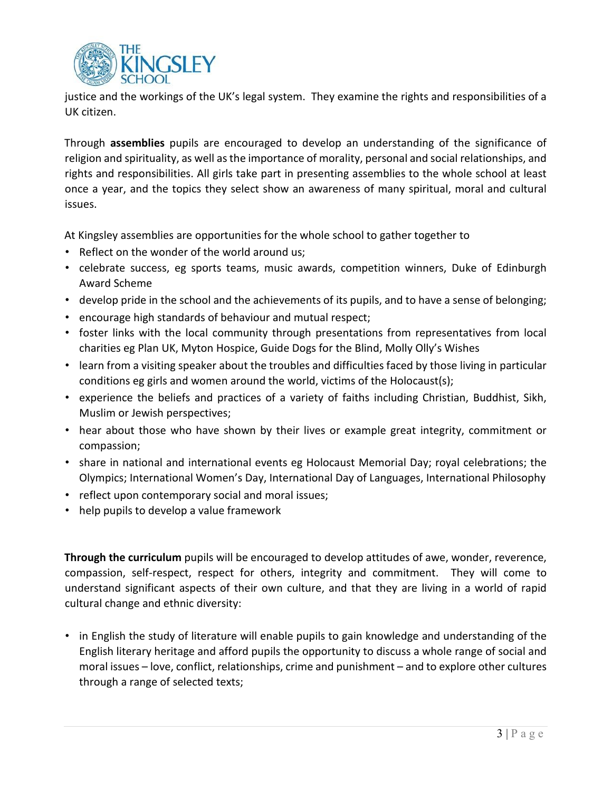

justice and the workings of the UK's legal system. They examine the rights and responsibilities of a UK citizen.

Through **assemblies** pupils are encouraged to develop an understanding of the significance of religion and spirituality, as well as the importance of morality, personal and social relationships, and rights and responsibilities. All girls take part in presenting assemblies to the whole school at least once a year, and the topics they select show an awareness of many spiritual, moral and cultural issues.

At Kingsley assemblies are opportunities for the whole school to gather together to

- Reflect on the wonder of the world around us;
- celebrate success, eg sports teams, music awards, competition winners, Duke of Edinburgh Award Scheme
- develop pride in the school and the achievements of its pupils, and to have a sense of belonging;
- encourage high standards of behaviour and mutual respect;
- foster links with the local community through presentations from representatives from local charities eg Plan UK, Myton Hospice, Guide Dogs for the Blind, Molly Olly's Wishes
- learn from a visiting speaker about the troubles and difficulties faced by those living in particular conditions eg girls and women around the world, victims of the Holocaust(s);
- experience the beliefs and practices of a variety of faiths including Christian, Buddhist, Sikh, Muslim or Jewish perspectives;
- hear about those who have shown by their lives or example great integrity, commitment or compassion;
- share in national and international events eg Holocaust Memorial Day; royal celebrations; the Olympics; International Women's Day, International Day of Languages, International Philosophy
- reflect upon contemporary social and moral issues;
- help pupils to develop a value framework

**Through the curriculum** pupils will be encouraged to develop attitudes of awe, wonder, reverence, compassion, self-respect, respect for others, integrity and commitment. They will come to understand significant aspects of their own culture, and that they are living in a world of rapid cultural change and ethnic diversity:

• in English the study of literature will enable pupils to gain knowledge and understanding of the English literary heritage and afford pupils the opportunity to discuss a whole range of social and moral issues – love, conflict, relationships, crime and punishment – and to explore other cultures through a range of selected texts;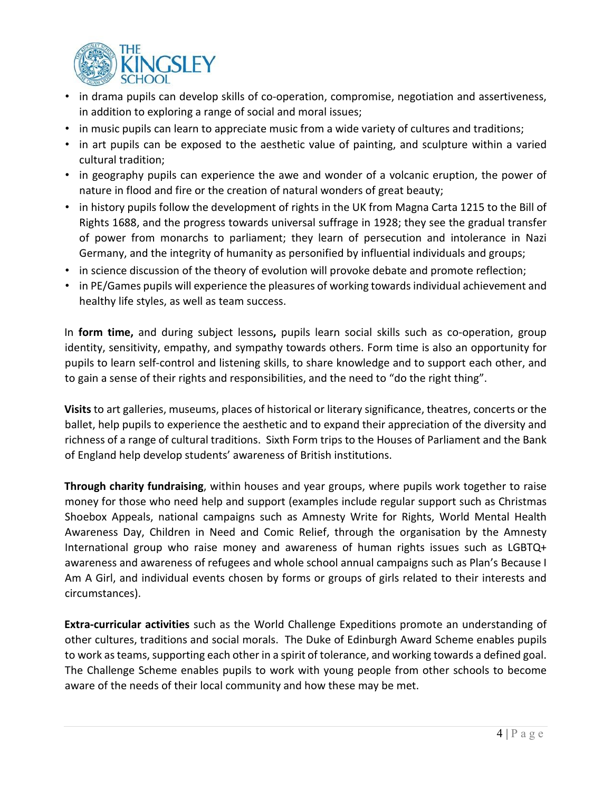

- in drama pupils can develop skills of co-operation, compromise, negotiation and assertiveness, in addition to exploring a range of social and moral issues;
- in music pupils can learn to appreciate music from a wide variety of cultures and traditions;
- in art pupils can be exposed to the aesthetic value of painting, and sculpture within a varied cultural tradition;
- in geography pupils can experience the awe and wonder of a volcanic eruption, the power of nature in flood and fire or the creation of natural wonders of great beauty;
- in history pupils follow the development of rights in the UK from Magna Carta 1215 to the Bill of Rights 1688, and the progress towards universal suffrage in 1928; they see the gradual transfer of power from monarchs to parliament; they learn of persecution and intolerance in Nazi Germany, and the integrity of humanity as personified by influential individuals and groups;
- in science discussion of the theory of evolution will provoke debate and promote reflection;
- in PE/Games pupils will experience the pleasures of working towards individual achievement and healthy life styles, as well as team success.

In **form time,** and during subject lessons**,** pupils learn social skills such as co-operation, group identity, sensitivity, empathy, and sympathy towards others. Form time is also an opportunity for pupils to learn self-control and listening skills, to share knowledge and to support each other, and to gain a sense of their rights and responsibilities, and the need to "do the right thing".

**Visits** to art galleries, museums, places of historical or literary significance, theatres, concerts or the ballet, help pupils to experience the aesthetic and to expand their appreciation of the diversity and richness of a range of cultural traditions. Sixth Form trips to the Houses of Parliament and the Bank of England help develop students' awareness of British institutions.

**Through charity fundraising**, within houses and year groups, where pupils work together to raise money for those who need help and support (examples include regular support such as Christmas Shoebox Appeals, national campaigns such as Amnesty Write for Rights, World Mental Health Awareness Day, Children in Need and Comic Relief, through the organisation by the Amnesty International group who raise money and awareness of human rights issues such as LGBTQ+ awareness and awareness of refugees and whole school annual campaigns such as Plan's Because I Am A Girl, and individual events chosen by forms or groups of girls related to their interests and circumstances).

**Extra-curricular activities** such as the World Challenge Expeditions promote an understanding of other cultures, traditions and social morals. The Duke of Edinburgh Award Scheme enables pupils to work as teams, supporting each other in a spirit of tolerance, and working towards a defined goal. The Challenge Scheme enables pupils to work with young people from other schools to become aware of the needs of their local community and how these may be met.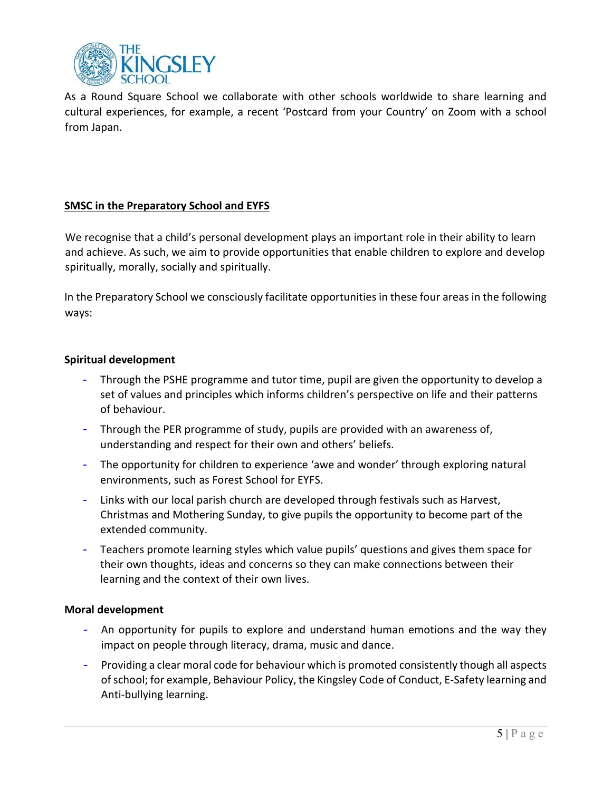

As a Round Square School we collaborate with other schools worldwide to share learning and cultural experiences, for example, a recent 'Postcard from your Country' on Zoom with a school from Japan.

## **SMSC in the Preparatory School and EYFS**

We recognise that a child's personal development plays an important role in their ability to learn and achieve. As such, we aim to provide opportunities that enable children to explore and develop spiritually, morally, socially and spiritually.

In the Preparatory School we consciously facilitate opportunities in these four areas in the following ways:

#### **Spiritual development**

- Through the PSHE programme and tutor time, pupil are given the opportunity to develop a set of values and principles which informs children's perspective on life and their patterns of behaviour.
- Through the PER programme of study, pupils are provided with an awareness of, understanding and respect for their own and others' beliefs.
- The opportunity for children to experience 'awe and wonder' through exploring natural environments, such as Forest School for EYFS.
- Links with our local parish church are developed through festivals such as Harvest, Christmas and Mothering Sunday, to give pupils the opportunity to become part of the extended community.
- Teachers promote learning styles which value pupils' questions and gives them space for their own thoughts, ideas and concerns so they can make connections between their learning and the context of their own lives.

## **Moral development**

- An opportunity for pupils to explore and understand human emotions and the way they impact on people through literacy, drama, music and dance.
- Providing a clear moral code for behaviour which is promoted consistently though all aspects of school; for example, Behaviour Policy, the Kingsley Code of Conduct, E-Safety learning and Anti-bullying learning.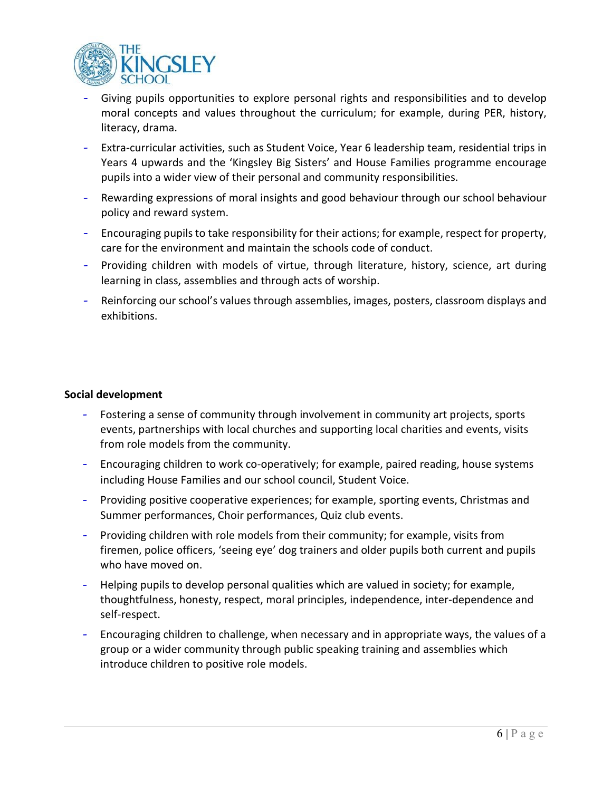

- Giving pupils opportunities to explore personal rights and responsibilities and to develop moral concepts and values throughout the curriculum; for example, during PER, history, literacy, drama.
- Extra-curricular activities, such as Student Voice, Year 6 leadership team, residential trips in Years 4 upwards and the 'Kingsley Big Sisters' and House Families programme encourage pupils into a wider view of their personal and community responsibilities.
- Rewarding expressions of moral insights and good behaviour through our school behaviour policy and reward system.
- Encouraging pupils to take responsibility for their actions; for example, respect for property, care for the environment and maintain the schools code of conduct.
- Providing children with models of virtue, through literature, history, science, art during learning in class, assemblies and through acts of worship.
- Reinforcing our school's values through assemblies, images, posters, classroom displays and exhibitions.

#### **Social development**

- Fostering a sense of community through involvement in community art projects, sports events, partnerships with local churches and supporting local charities and events, visits from role models from the community.
- Encouraging children to work co-operatively; for example, paired reading, house systems including House Families and our school council, Student Voice.
- Providing positive cooperative experiences; for example, sporting events, Christmas and Summer performances, Choir performances, Quiz club events.
- Providing children with role models from their community; for example, visits from firemen, police officers, 'seeing eye' dog trainers and older pupils both current and pupils who have moved on.
- Helping pupils to develop personal qualities which are valued in society; for example, thoughtfulness, honesty, respect, moral principles, independence, inter-dependence and self-respect.
- Encouraging children to challenge, when necessary and in appropriate ways, the values of a group or a wider community through public speaking training and assemblies which introduce children to positive role models.